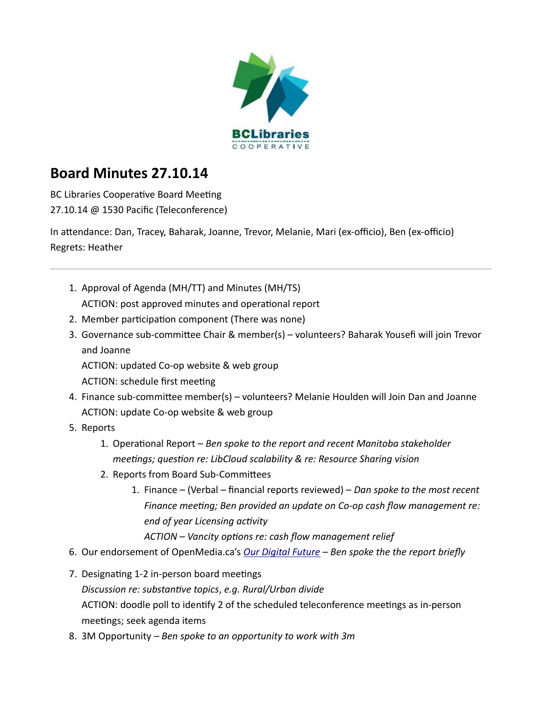

## **Board Minutes 27.10.14**

BC Libraries Cooperative Board Meeting 27.10.14 @ 1530 Pacific (Teleconference)

In attendance: Dan, Tracey, Baharak, Joanne, Trevor, Melanie, Mari (ex-officio), Ben (ex-officio) Regrets: Heather

- 1. Approval of Agenda (MH/TT) and Minutes (MH/TS) ACTION: post approved minutes and operational report
- 2. Member participation component (There was none)
- 3. Governance sub-committee Chair & member(s) volunteers? Baharak Yousefi will join Trevor and Joanne

ACTION: updated Co-op website & web group

- ACTION: schedule first meeting
- 4. Finance sub-committee member(s) volunteers? Melanie Houlden will Join Dan and Joanne ACTION: update Co-op website & web group
- 5. Reports
	- 1. Operational Report *Ben spoke to the report and recent Manitoba stakeholder meetings; question re: LibCloud scalability & re: Resource Sharing vision*
	- 2. Reports from Board Sub-Committees
		- 1. Finance (Verbal financial reports reviewed) *Dan spoke to the most recent Finance meeting; Ben provided an update on Co-op cash flow management re: end of year Licensing activity*

*ACTION – Vancity options re: cash flow management relief*

- 6. Our endorsement of OpenMedia.ca's *[Our Digital Future](https://openmedia.org/digitalfuture?src=twa) Ben spoke the the report briefly*
- 7. Designating 1-2 in-person board meetings *Discussion re: substantive topics*, *e.g. Rural/Urban divide* ACTION: doodle poll to identify 2 of the scheduled teleconference meetings as in-person meetings; seek agenda items
- 8. 3M Opportunity  *Ben spoke to an opportunity to work with 3m*